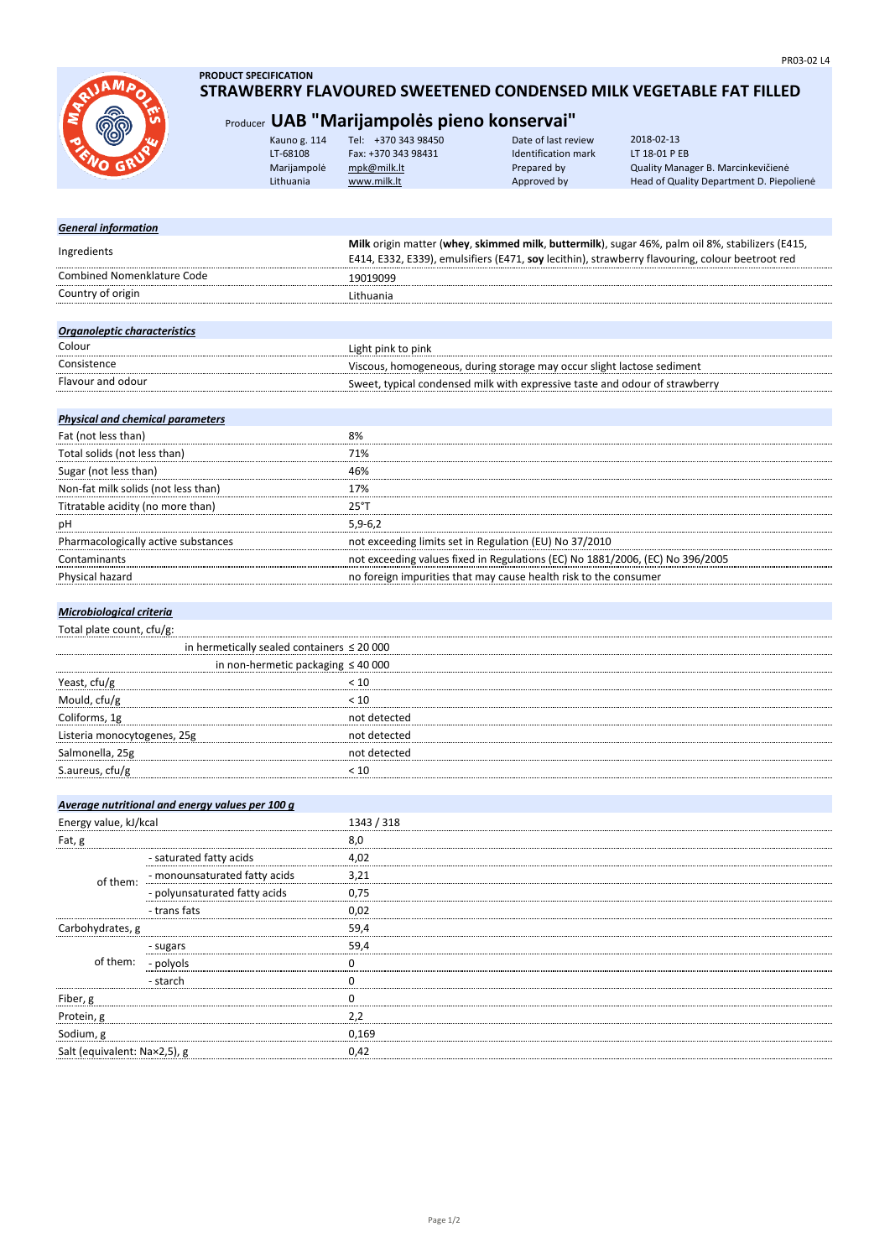

## **PRODUCT SPECIFICATION STRAWBERRY FLAVOURED SWEETENED CONDENSED MILK VEGETABLE FAT FILLED**

## Producer **UAB "Marijampolės pieno konservai"**

| iu<br>R | Kauno g. 114 | Tel: +370 343 98450 | Date of last review | 2018-02-13                               |
|---------|--------------|---------------------|---------------------|------------------------------------------|
|         | LT-68108     | Fax: +370 343 98431 | Identification mark | LT 18-01 P EB                            |
|         | Marijampolė  | mpk@milk.lt         | Prepared by         | Quality Manager B. Marcinkevičienė       |
|         | Lithuania    | www.milk.lt         | Approved by         | Head of Quality Department D. Piepoliene |
|         |              |                     |                     |                                          |

| <b>General information</b>              |                                                 |                                                                                                                                                                                                    |
|-----------------------------------------|-------------------------------------------------|----------------------------------------------------------------------------------------------------------------------------------------------------------------------------------------------------|
| Ingredients                             |                                                 | Milk origin matter (whey, skimmed milk, buttermilk), sugar 46%, palm oil 8%, stabilizers (E415,<br>E414, E332, E339), emulsifiers (E471, soy lecithin), strawberry flavouring, colour beetroot red |
| <b>Combined Nomenklature Code</b>       |                                                 | 19019099                                                                                                                                                                                           |
| Country of origin                       |                                                 | Lithuania                                                                                                                                                                                          |
|                                         |                                                 |                                                                                                                                                                                                    |
| Organoleptic characteristics            |                                                 |                                                                                                                                                                                                    |
| Colour                                  |                                                 | Light pink to pink                                                                                                                                                                                 |
| Consistence                             |                                                 | Viscous, homogeneous, during storage may occur slight lactose sediment                                                                                                                             |
| Flavour and odour                       |                                                 | Sweet, typical condensed milk with expressive taste and odour of strawberry                                                                                                                        |
| <b>Physical and chemical parameters</b> |                                                 |                                                                                                                                                                                                    |
| Fat (not less than)                     |                                                 | 8%                                                                                                                                                                                                 |
| Total solids (not less than)            |                                                 | 71%                                                                                                                                                                                                |
| Sugar (not less than)                   |                                                 | 46%                                                                                                                                                                                                |
| Non-fat milk solids (not less than)     |                                                 | 17%                                                                                                                                                                                                |
| Titratable acidity (no more than)       |                                                 | 25°T                                                                                                                                                                                               |
| рH                                      |                                                 | $5,9-6,2$                                                                                                                                                                                          |
|                                         | Pharmacologically active substances             | not exceeding limits set in Regulation (EU) No 37/2010                                                                                                                                             |
| Contaminants                            |                                                 | not exceeding values fixed in Regulations (EC) No 1881/2006, (EC) No 396/2005                                                                                                                      |
| Physical hazard                         |                                                 | no foreign impurities that may cause health risk to the consumer                                                                                                                                   |
|                                         |                                                 |                                                                                                                                                                                                    |
| Microbiological criteria                |                                                 |                                                                                                                                                                                                    |
| Total plate count, cfu/g:               |                                                 |                                                                                                                                                                                                    |
|                                         | in hermetically sealed containers $\leq 20000$  |                                                                                                                                                                                                    |
|                                         | in non-hermetic packaging $\leq 40000$          |                                                                                                                                                                                                    |
| Yeast, cfu/g                            |                                                 | < 10                                                                                                                                                                                               |
| Mould, cfu/g                            |                                                 | < 10                                                                                                                                                                                               |
| Coliforms, 1g                           |                                                 | not detected                                                                                                                                                                                       |
| Listeria monocytogenes, 25g             |                                                 | not detected                                                                                                                                                                                       |
| Salmonella, 25g                         |                                                 | not detected                                                                                                                                                                                       |
| S.aureus, cfu/g                         |                                                 | < 10                                                                                                                                                                                               |
|                                         |                                                 |                                                                                                                                                                                                    |
|                                         | Average nutritional and energy values per 100 g |                                                                                                                                                                                                    |
| Energy value, kJ/kcal                   |                                                 | 1343 / 318                                                                                                                                                                                         |
| Fat, g                                  |                                                 | 8,0                                                                                                                                                                                                |
|                                         | - saturated fatty acids                         | 4,02                                                                                                                                                                                               |
| of them:                                | - monounsaturated fatty acids                   | 3,21                                                                                                                                                                                               |
|                                         | - polyunsaturated fatty acids                   | 0,75                                                                                                                                                                                               |
|                                         | - trans fats                                    | 0,02                                                                                                                                                                                               |
| Carbohydrates, g                        |                                                 | 59,4                                                                                                                                                                                               |
|                                         | - sugars                                        | 59,4                                                                                                                                                                                               |
| of them:                                | - polyols                                       | 0                                                                                                                                                                                                  |
|                                         | - starch                                        | 0                                                                                                                                                                                                  |
| Fiber, g                                |                                                 | 0                                                                                                                                                                                                  |
| Protein, g                              |                                                 | 2,2                                                                                                                                                                                                |
| Sodium, g                               |                                                 | 0,169                                                                                                                                                                                              |

Salt (equivalent: Na×2,5), g 0,42